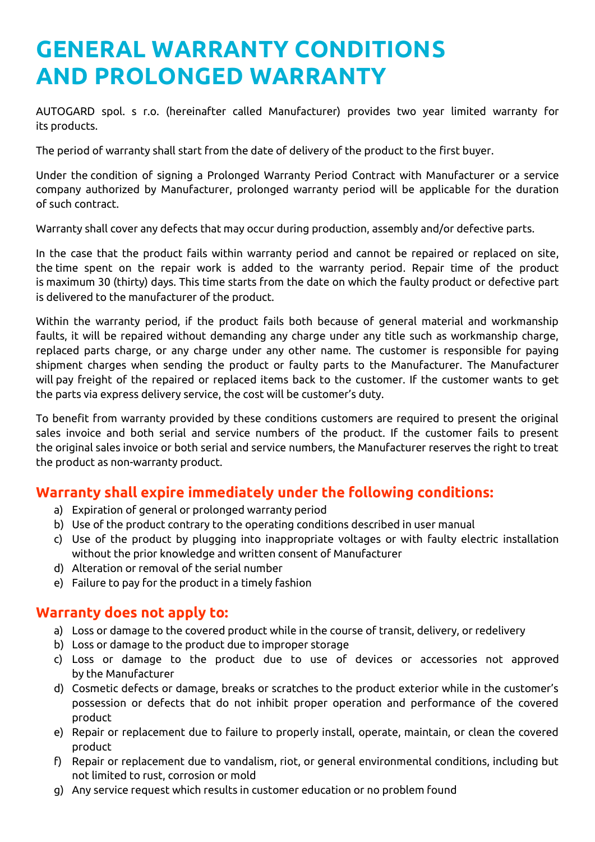# **GENERAL WARRANTY CONDITIONS AND PROLONGED WARRANTY**

AUTOGARD spol. s r.o. (hereinafter called Manufacturer) provides two year limited warranty for its products.

The period of warranty shall start from the date of delivery of the product to the first buyer.

Under the condition of signing a Prolonged Warranty Period Contract with Manufacturer or a service company authorized by Manufacturer, prolonged warranty period will be applicable for the duration of such contract.

Warranty shall cover any defects that may occur during production, assembly and/or defective parts.

In the case that the product fails within warranty period and cannot be repaired or replaced on site, the time spent on the repair work is added to the warranty period. Repair time of the product is maximum 30 (thirty) days. This time starts from the date on which the faulty product or defective part is delivered to the manufacturer of the product.

Within the warranty period, if the product fails both because of general material and workmanship faults, it will be repaired without demanding any charge under any title such as workmanship charge, replaced parts charge, or any charge under any other name. The customer is responsible for paying shipment charges when sending the product or faulty parts to the Manufacturer. The Manufacturer will pay freight of the repaired or replaced items back to the customer. If the customer wants to get the parts via express delivery service, the cost will be customer's duty.

To benefit from warranty provided by these conditions customers are required to present the original sales invoice and both serial and service numbers of the product. If the customer fails to present the original sales invoice or both serial and service numbers, the Manufacturer reserves the right to treat the product as non-warranty product.

#### **Warranty shall expire immediately under the following conditions:**

- a) Expiration of general or prolonged warranty period
- b) Use of the product contrary to the operating conditions described in user manual
- c) Use of the product by plugging into inappropriate voltages or with faulty electric installation without the prior knowledge and written consent of Manufacturer
- d) Alteration or removal of the serial number
- e) Failure to pay for the product in a timely fashion

#### **Warranty does not apply to:**

- a) Loss or damage to the covered product while in the course of transit, delivery, or redelivery
- b) Loss or damage to the product due to improper storage
- c) Loss or damage to the product due to use of devices or accessories not approved by the Manufacturer
- d) Cosmetic defects or damage, breaks or scratches to the product exterior while in the customer's possession or defects that do not inhibit proper operation and performance of the covered product
- e) Repair or replacement due to failure to properly install, operate, maintain, or clean the covered product
- f) Repair or replacement due to vandalism, riot, or general environmental conditions, including but not limited to rust, corrosion or mold
- g) Any service request which results in customer education or no problem found